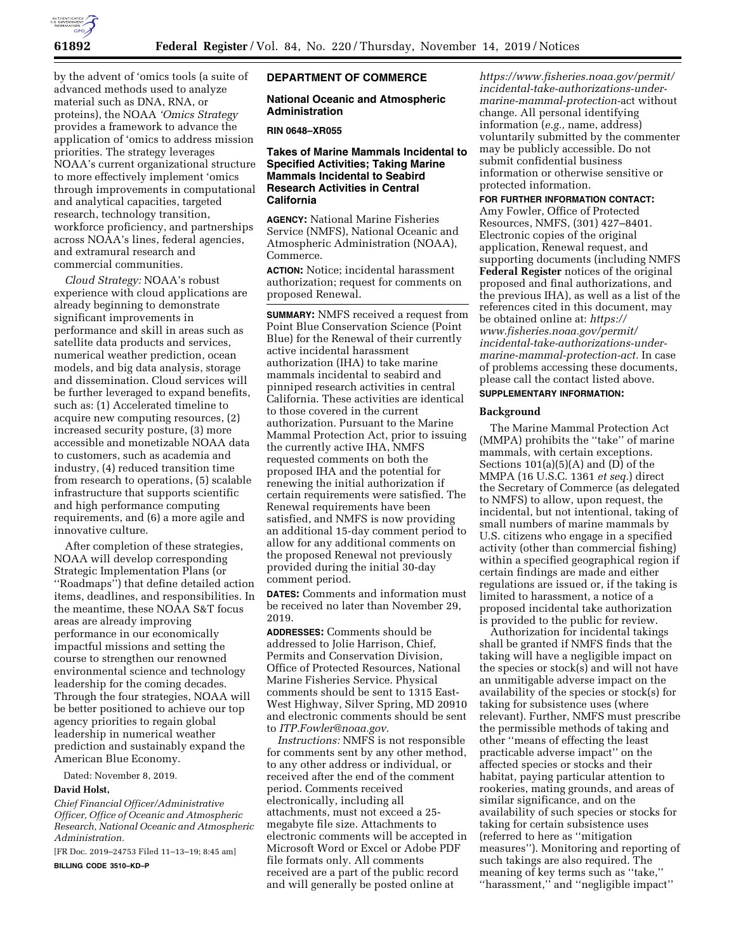

by the advent of 'omics tools (a suite of advanced methods used to analyze material such as DNA, RNA, or proteins), the NOAA *'Omics Strategy*  provides a framework to advance the application of 'omics to address mission priorities. The strategy leverages NOAA's current organizational structure to more effectively implement 'omics through improvements in computational and analytical capacities, targeted research, technology transition, workforce proficiency, and partnerships across NOAA's lines, federal agencies, and extramural research and commercial communities.

*Cloud Strategy:* NOAA's robust experience with cloud applications are already beginning to demonstrate significant improvements in performance and skill in areas such as satellite data products and services, numerical weather prediction, ocean models, and big data analysis, storage and dissemination. Cloud services will be further leveraged to expand benefits, such as: (1) Accelerated timeline to acquire new computing resources, (2) increased security posture, (3) more accessible and monetizable NOAA data to customers, such as academia and industry, (4) reduced transition time from research to operations, (5) scalable infrastructure that supports scientific and high performance computing requirements, and (6) a more agile and innovative culture.

After completion of these strategies, NOAA will develop corresponding Strategic Implementation Plans (or ''Roadmaps'') that define detailed action items, deadlines, and responsibilities. In the meantime, these NOAA S&T focus areas are already improving performance in our economically impactful missions and setting the course to strengthen our renowned environmental science and technology leadership for the coming decades. Through the four strategies, NOAA will be better positioned to achieve our top agency priorities to regain global leadership in numerical weather prediction and sustainably expand the American Blue Economy.

Dated: November 8, 2019.

### **David Holst,**

*Chief Financial Officer/Administrative Officer, Office of Oceanic and Atmospheric Research, National Oceanic and Atmospheric Administration.* 

[FR Doc. 2019–24753 Filed 11–13–19; 8:45 am]

**BILLING CODE 3510–KD–P** 

### **DEPARTMENT OF COMMERCE**

### **National Oceanic and Atmospheric Administration**

### **RIN 0648–XR055**

### **Takes of Marine Mammals Incidental to Specified Activities; Taking Marine Mammals Incidental to Seabird Research Activities in Central California**

**AGENCY:** National Marine Fisheries Service (NMFS), National Oceanic and Atmospheric Administration (NOAA), Commerce.

**ACTION:** Notice; incidental harassment authorization; request for comments on proposed Renewal.

**SUMMARY:** NMFS received a request from Point Blue Conservation Science (Point Blue) for the Renewal of their currently active incidental harassment authorization (IHA) to take marine mammals incidental to seabird and pinniped research activities in central California. These activities are identical to those covered in the current authorization. Pursuant to the Marine Mammal Protection Act, prior to issuing the currently active IHA, NMFS requested comments on both the proposed IHA and the potential for renewing the initial authorization if certain requirements were satisfied. The Renewal requirements have been satisfied, and NMFS is now providing an additional 15-day comment period to allow for any additional comments on the proposed Renewal not previously provided during the initial 30-day comment period.

**DATES:** Comments and information must be received no later than November 29, 2019.

**ADDRESSES:** Comments should be addressed to Jolie Harrison, Chief, Permits and Conservation Division, Office of Protected Resources, National Marine Fisheries Service. Physical comments should be sent to 1315 East-West Highway, Silver Spring, MD 20910 and electronic comments should be sent to *[ITP.Fowler@noaa.gov.](mailto:ITP.Fowler@noaa.gov)* 

*Instructions:* NMFS is not responsible for comments sent by any other method, to any other address or individual, or received after the end of the comment period. Comments received electronically, including all attachments, must not exceed a 25 megabyte file size. Attachments to electronic comments will be accepted in Microsoft Word or Excel or Adobe PDF file formats only. All comments received are a part of the public record and will generally be posted online at

*[https://www.fisheries.noaa.gov/permit/](https://www.fisheries.noaa.gov/permit/incidental-take-authorizations-under-marine-mammal-protection-act)  incidental-take-authorizations-under[marine-mammal-protection-](https://www.fisheries.noaa.gov/permit/incidental-take-authorizations-under-marine-mammal-protection-act)*act without change. All personal identifying information (*e.g.,* name, address) voluntarily submitted by the commenter may be publicly accessible. Do not submit confidential business information or otherwise sensitive or protected information.

#### **FOR FURTHER INFORMATION CONTACT:**

Amy Fowler, Office of Protected Resources, NMFS, (301) 427–8401. Electronic copies of the original application, Renewal request, and supporting documents (including NMFS **Federal Register** notices of the original proposed and final authorizations, and the previous IHA), as well as a list of the references cited in this document, may be obtained online at: *[https://](https://www.fisheries.noaa.gov/permit/incidental-take-authorizations-under-marine-mammal-protection-act) [www.fisheries.noaa.gov/permit/](https://www.fisheries.noaa.gov/permit/incidental-take-authorizations-under-marine-mammal-protection-act)  [incidental-take-authorizations-under](https://www.fisheries.noaa.gov/permit/incidental-take-authorizations-under-marine-mammal-protection-act)[marine-mammal-protection-act.](https://www.fisheries.noaa.gov/permit/incidental-take-authorizations-under-marine-mammal-protection-act)* In case of problems accessing these documents, please call the contact listed above.

#### **SUPPLEMENTARY INFORMATION:**

#### **Background**

The Marine Mammal Protection Act (MMPA) prohibits the ''take'' of marine mammals, with certain exceptions. Sections  $101(a)(5)(A)$  and  $(D)$  of the MMPA (16 U.S.C. 1361 *et seq.*) direct the Secretary of Commerce (as delegated to NMFS) to allow, upon request, the incidental, but not intentional, taking of small numbers of marine mammals by U.S. citizens who engage in a specified activity (other than commercial fishing) within a specified geographical region if certain findings are made and either regulations are issued or, if the taking is limited to harassment, a notice of a proposed incidental take authorization is provided to the public for review.

Authorization for incidental takings shall be granted if NMFS finds that the taking will have a negligible impact on the species or stock(s) and will not have an unmitigable adverse impact on the availability of the species or stock(s) for taking for subsistence uses (where relevant). Further, NMFS must prescribe the permissible methods of taking and other ''means of effecting the least practicable adverse impact'' on the affected species or stocks and their habitat, paying particular attention to rookeries, mating grounds, and areas of similar significance, and on the availability of such species or stocks for taking for certain subsistence uses (referred to here as ''mitigation measures''). Monitoring and reporting of such takings are also required. The meaning of key terms such as ''take,'' ''harassment,'' and ''negligible impact''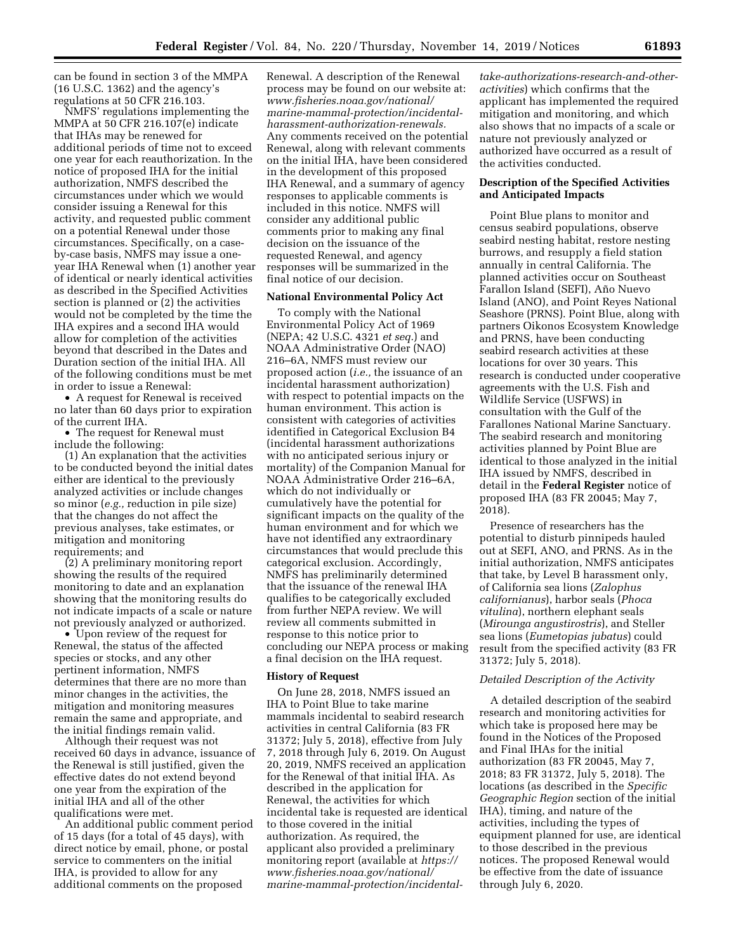can be found in section 3 of the MMPA (16 U.S.C. 1362) and the agency's regulations at 50 CFR 216.103.

NMFS' regulations implementing the MMPA at 50 CFR 216.107(e) indicate that IHAs may be renewed for additional periods of time not to exceed one year for each reauthorization. In the notice of proposed IHA for the initial authorization, NMFS described the circumstances under which we would consider issuing a Renewal for this activity, and requested public comment on a potential Renewal under those circumstances. Specifically, on a caseby-case basis, NMFS may issue a oneyear IHA Renewal when (1) another year of identical or nearly identical activities as described in the Specified Activities section is planned or (2) the activities would not be completed by the time the IHA expires and a second IHA would allow for completion of the activities beyond that described in the Dates and Duration section of the initial IHA. All of the following conditions must be met in order to issue a Renewal:

• A request for Renewal is received no later than 60 days prior to expiration of the current IHA.

• The request for Renewal must include the following:

(1) An explanation that the activities to be conducted beyond the initial dates either are identical to the previously analyzed activities or include changes so minor (*e.g.,* reduction in pile size) that the changes do not affect the previous analyses, take estimates, or mitigation and monitoring requirements; and

(2) A preliminary monitoring report showing the results of the required monitoring to date and an explanation showing that the monitoring results do not indicate impacts of a scale or nature not previously analyzed or authorized.

• Upon review of the request for Renewal, the status of the affected species or stocks, and any other pertinent information, NMFS determines that there are no more than minor changes in the activities, the mitigation and monitoring measures remain the same and appropriate, and the initial findings remain valid.

Although their request was not received 60 days in advance, issuance of the Renewal is still justified, given the effective dates do not extend beyond one year from the expiration of the initial IHA and all of the other qualifications were met.

An additional public comment period of 15 days (for a total of 45 days), with direct notice by email, phone, or postal service to commenters on the initial IHA, is provided to allow for any additional comments on the proposed

Renewal. A description of the Renewal process may be found on our website at: *[www.fisheries.noaa.gov/national/](http://www.fisheries.noaa.gov/national/marine-mammal-protection/incidental-harassment-authorization-renewals) [marine-mammal-protection/incidental](http://www.fisheries.noaa.gov/national/marine-mammal-protection/incidental-harassment-authorization-renewals)[harassment-authorization-renewals.](http://www.fisheries.noaa.gov/national/marine-mammal-protection/incidental-harassment-authorization-renewals)*  Any comments received on the potential Renewal, along with relevant comments on the initial IHA, have been considered in the development of this proposed IHA Renewal, and a summary of agency responses to applicable comments is included in this notice. NMFS will consider any additional public comments prior to making any final decision on the issuance of the requested Renewal, and agency responses will be summarized in the final notice of our decision.

### **National Environmental Policy Act**

To comply with the National Environmental Policy Act of 1969 (NEPA; 42 U.S.C. 4321 *et seq.*) and NOAA Administrative Order (NAO) 216–6A, NMFS must review our proposed action (*i.e.,* the issuance of an incidental harassment authorization) with respect to potential impacts on the human environment. This action is consistent with categories of activities identified in Categorical Exclusion B4 (incidental harassment authorizations with no anticipated serious injury or mortality) of the Companion Manual for NOAA Administrative Order 216–6A, which do not individually or cumulatively have the potential for significant impacts on the quality of the human environment and for which we have not identified any extraordinary circumstances that would preclude this categorical exclusion. Accordingly, NMFS has preliminarily determined that the issuance of the renewal IHA qualifies to be categorically excluded from further NEPA review. We will review all comments submitted in response to this notice prior to concluding our NEPA process or making a final decision on the IHA request.

### **History of Request**

On June 28, 2018, NMFS issued an IHA to Point Blue to take marine mammals incidental to seabird research activities in central California (83 FR 31372; July 5, 2018), effective from July 7, 2018 through July 6, 2019. On August 20, 2019, NMFS received an application for the Renewal of that initial IHA. As described in the application for Renewal, the activities for which incidental take is requested are identical to those covered in the initial authorization. As required, the applicant also provided a preliminary monitoring report (available at *[https://](https://www.fisheries.noaa.gov/national/marine-mammal-protection/incidental-take-authorizations-research-and-other-activities) [www.fisheries.noaa.gov/national/](https://www.fisheries.noaa.gov/national/marine-mammal-protection/incidental-take-authorizations-research-and-other-activities)  [marine-mammal-protection/incidental-](https://www.fisheries.noaa.gov/national/marine-mammal-protection/incidental-take-authorizations-research-and-other-activities)*

*[take-authorizations-research-and-other](https://www.fisheries.noaa.gov/national/marine-mammal-protection/incidental-take-authorizations-research-and-other-activities)[activities](https://www.fisheries.noaa.gov/national/marine-mammal-protection/incidental-take-authorizations-research-and-other-activities)*) which confirms that the applicant has implemented the required mitigation and monitoring, and which also shows that no impacts of a scale or nature not previously analyzed or authorized have occurred as a result of the activities conducted.

### **Description of the Specified Activities and Anticipated Impacts**

Point Blue plans to monitor and census seabird populations, observe seabird nesting habitat, restore nesting burrows, and resupply a field station annually in central California. The planned activities occur on Southeast Farallon Island (SEFI), Año Nuevo Island (ANO), and Point Reyes National Seashore (PRNS). Point Blue, along with partners Oikonos Ecosystem Knowledge and PRNS, have been conducting seabird research activities at these locations for over 30 years. This research is conducted under cooperative agreements with the U.S. Fish and Wildlife Service (USFWS) in consultation with the Gulf of the Farallones National Marine Sanctuary. The seabird research and monitoring activities planned by Point Blue are identical to those analyzed in the initial IHA issued by NMFS, described in detail in the **Federal Register** notice of proposed IHA (83 FR 20045; May 7, 2018).

Presence of researchers has the potential to disturb pinnipeds hauled out at SEFI, ANO, and PRNS. As in the initial authorization, NMFS anticipates that take, by Level B harassment only, of California sea lions (*Zalophus californianus*), harbor seals (*Phoca vitulina*), northern elephant seals (*Mirounga angustirostris*), and Steller sea lions (*Eumetopias jubatus*) could result from the specified activity (83 FR 31372; July 5, 2018).

# *Detailed Description of the Activity*

A detailed description of the seabird research and monitoring activities for which take is proposed here may be found in the Notices of the Proposed and Final IHAs for the initial authorization (83 FR 20045, May 7, 2018; 83 FR 31372, July 5, 2018). The locations (as described in the *Specific Geographic Region* section of the initial IHA), timing, and nature of the activities, including the types of equipment planned for use, are identical to those described in the previous notices. The proposed Renewal would be effective from the date of issuance through July 6, 2020.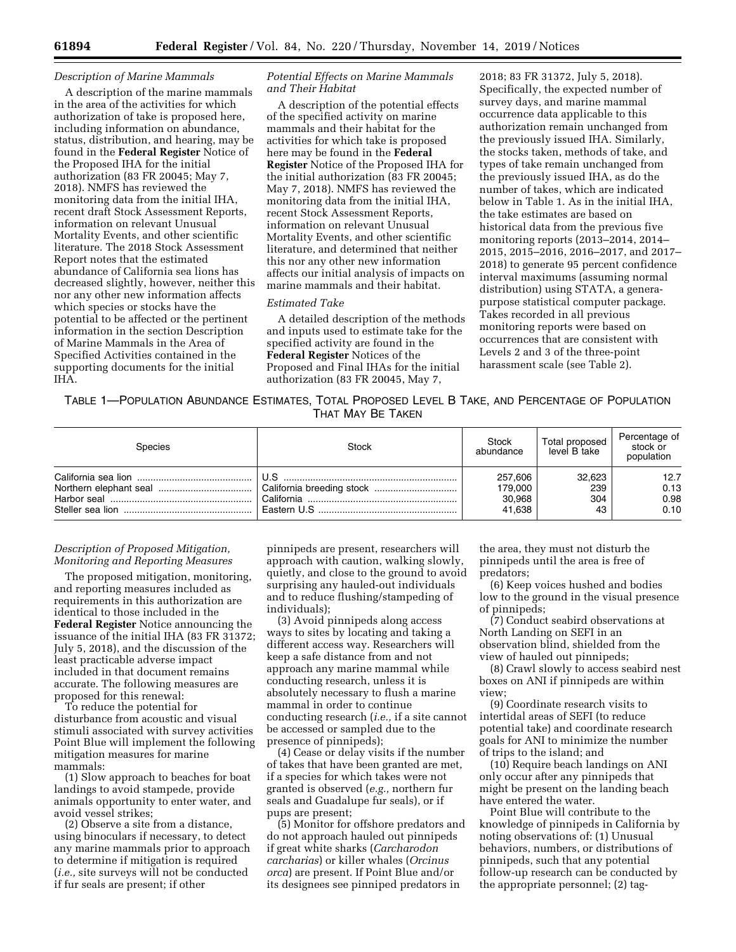### *Description of Marine Mammals*

A description of the marine mammals in the area of the activities for which authorization of take is proposed here, including information on abundance, status, distribution, and hearing, may be found in the **Federal Register** Notice of the Proposed IHA for the initial authorization (83 FR 20045; May 7, 2018). NMFS has reviewed the monitoring data from the initial IHA, recent draft Stock Assessment Reports, information on relevant Unusual Mortality Events, and other scientific literature. The 2018 Stock Assessment Report notes that the estimated abundance of California sea lions has decreased slightly, however, neither this nor any other new information affects which species or stocks have the potential to be affected or the pertinent information in the section Description of Marine Mammals in the Area of Specified Activities contained in the supporting documents for the initial IHA.

### *Potential Effects on Marine Mammals and Their Habitat*

A description of the potential effects of the specified activity on marine mammals and their habitat for the activities for which take is proposed here may be found in the **Federal Register** Notice of the Proposed IHA for the initial authorization (83 FR 20045; May 7, 2018). NMFS has reviewed the monitoring data from the initial IHA, recent Stock Assessment Reports, information on relevant Unusual Mortality Events, and other scientific literature, and determined that neither this nor any other new information affects our initial analysis of impacts on marine mammals and their habitat.

#### *Estimated Take*

A detailed description of the methods and inputs used to estimate take for the specified activity are found in the **Federal Register** Notices of the Proposed and Final IHAs for the initial authorization (83 FR 20045, May 7,

2018; 83 FR 31372, July 5, 2018). Specifically, the expected number of survey days, and marine mammal occurrence data applicable to this authorization remain unchanged from the previously issued IHA. Similarly, the stocks taken, methods of take, and types of take remain unchanged from the previously issued IHA, as do the number of takes, which are indicated below in Table 1. As in the initial IHA, the take estimates are based on historical data from the previous five monitoring reports (2013–2014, 2014– 2015, 2015–2016, 2016–2017, and 2017– 2018) to generate 95 percent confidence interval maximums (assuming normal distribution) using STATA, a generapurpose statistical computer package. Takes recorded in all previous monitoring reports were based on occurrences that are consistent with Levels 2 and 3 of the three-point harassment scale (see Table 2).

TABLE 1—POPULATION ABUNDANCE ESTIMATES, TOTAL PROPOSED LEVEL B TAKE, AND PERCENTAGE OF POPULATION THAT MAY BE TAKEN

| <b>Species</b> | Stock | Stock<br>abundance                     | Total proposed<br>level B take | Percentage of<br>stock or<br>population |
|----------------|-------|----------------------------------------|--------------------------------|-----------------------------------------|
|                |       | 257.606<br>179.000<br>30,968<br>41.638 | 32.623<br>239<br>304<br>43     | 12.7<br>0.13<br>0.98<br>0.10            |

### *Description of Proposed Mitigation, Monitoring and Reporting Measures*

The proposed mitigation, monitoring, and reporting measures included as requirements in this authorization are identical to those included in the **Federal Register** Notice announcing the issuance of the initial IHA (83 FR 31372; July 5, 2018), and the discussion of the least practicable adverse impact included in that document remains accurate. The following measures are proposed for this renewal:

To reduce the potential for disturbance from acoustic and visual stimuli associated with survey activities Point Blue will implement the following mitigation measures for marine mammals:

(1) Slow approach to beaches for boat landings to avoid stampede, provide animals opportunity to enter water, and avoid vessel strikes;

(2) Observe a site from a distance, using binoculars if necessary, to detect any marine mammals prior to approach to determine if mitigation is required (*i.e.,* site surveys will not be conducted if fur seals are present; if other

pinnipeds are present, researchers will approach with caution, walking slowly, quietly, and close to the ground to avoid surprising any hauled-out individuals and to reduce flushing/stampeding of individuals);

(3) Avoid pinnipeds along access ways to sites by locating and taking a different access way. Researchers will keep a safe distance from and not approach any marine mammal while conducting research, unless it is absolutely necessary to flush a marine mammal in order to continue conducting research (*i.e.,* if a site cannot be accessed or sampled due to the presence of pinnipeds);

(4) Cease or delay visits if the number of takes that have been granted are met, if a species for which takes were not granted is observed (*e.g.,* northern fur seals and Guadalupe fur seals), or if pups are present;

(5) Monitor for offshore predators and do not approach hauled out pinnipeds if great white sharks (*Carcharodon carcharias*) or killer whales (*Orcinus orca*) are present. If Point Blue and/or its designees see pinniped predators in

the area, they must not disturb the pinnipeds until the area is free of predators;

(6) Keep voices hushed and bodies low to the ground in the visual presence of pinnipeds;

(7) Conduct seabird observations at North Landing on SEFI in an observation blind, shielded from the view of hauled out pinnipeds;

(8) Crawl slowly to access seabird nest boxes on ANI if pinnipeds are within view;

(9) Coordinate research visits to intertidal areas of SEFI (to reduce potential take) and coordinate research goals for ANI to minimize the number of trips to the island; and

(10) Require beach landings on ANI only occur after any pinnipeds that might be present on the landing beach have entered the water.

Point Blue will contribute to the knowledge of pinnipeds in California by noting observations of: (1) Unusual behaviors, numbers, or distributions of pinnipeds, such that any potential follow-up research can be conducted by the appropriate personnel; (2) tag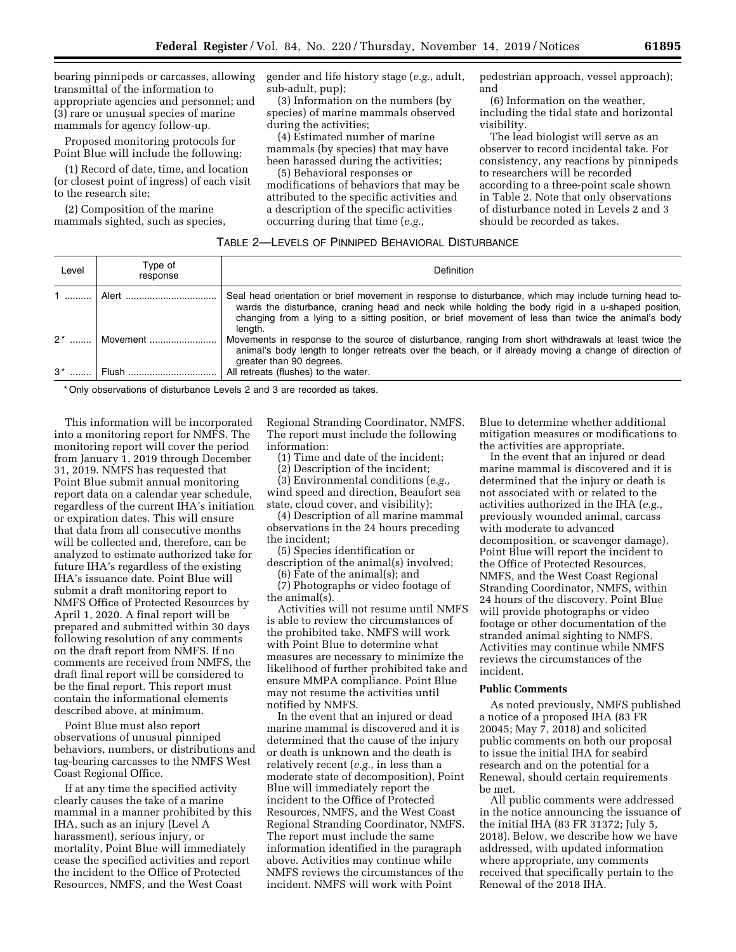bearing pinnipeds or carcasses, allowing transmittal of the information to appropriate agencies and personnel; and (3) rare or unusual species of marine mammals for agency follow-up.

Proposed monitoring protocols for Point Blue will include the following:

(1) Record of date, time, and location (or closest point of ingress) of each visit to the research site;

(2) Composition of the marine mammals sighted, such as species, gender and life history stage (*e.g.,* adult, sub-adult, pup);

(3) Information on the numbers (by species) of marine mammals observed during the activities;

(4) Estimated number of marine mammals (by species) that may have been harassed during the activities;

(5) Behavioral responses or modifications of behaviors that may be attributed to the specific activities and a description of the specific activities occurring during that time (*e.g.,* 

pedestrian approach, vessel approach); and

(6) Information on the weather, including the tidal state and horizontal visibility.

The lead biologist will serve as an observer to record incidental take. For consistency, any reactions by pinnipeds to researchers will be recorded according to a three-point scale shown in Table 2. Note that only observations of disturbance noted in Levels 2 and 3 should be recorded as takes.

#### TABLE 2—LEVELS OF PINNIPED BEHAVIORAL DISTURBANCE

| Level | Type of<br>response    | <b>Definition</b>                                                                                                                                                                                                                                                                                                             |
|-------|------------------------|-------------------------------------------------------------------------------------------------------------------------------------------------------------------------------------------------------------------------------------------------------------------------------------------------------------------------------|
|       |                        | Seal head orientation or brief movement in response to disturbance, which may include turning head to-<br>wards the disturbance, craning head and neck while holding the body rigid in a u-shaped position,<br>changing from a lying to a sitting position, or brief movement of less than twice the animal's body<br>lenath. |
| $2^*$ | Movement               | Movements in response to the source of disturbance, ranging from short withdrawals at least twice the<br>animal's body length to longer retreats over the beach, or if already moving a change of direction of<br>greater than 90 degrees.                                                                                    |
|       | 3 <sup>*</sup>   Flush | All retreats (flushes) to the water.                                                                                                                                                                                                                                                                                          |

\* Only observations of disturbance Levels 2 and 3 are recorded as takes.

This information will be incorporated into a monitoring report for NMFS. The monitoring report will cover the period from January 1, 2019 through December 31, 2019. NMFS has requested that Point Blue submit annual monitoring report data on a calendar year schedule, regardless of the current IHA's initiation or expiration dates. This will ensure that data from all consecutive months will be collected and, therefore, can be analyzed to estimate authorized take for future IHA's regardless of the existing IHA's issuance date. Point Blue will submit a draft monitoring report to NMFS Office of Protected Resources by April 1, 2020. A final report will be prepared and submitted within 30 days following resolution of any comments on the draft report from NMFS. If no comments are received from NMFS, the draft final report will be considered to be the final report. This report must contain the informational elements described above, at minimum.

Point Blue must also report observations of unusual pinniped behaviors, numbers, or distributions and tag-bearing carcasses to the NMFS West Coast Regional Office.

If at any time the specified activity clearly causes the take of a marine mammal in a manner prohibited by this IHA, such as an injury (Level A harassment), serious injury, or mortality, Point Blue will immediately cease the specified activities and report the incident to the Office of Protected Resources, NMFS, and the West Coast

Regional Stranding Coordinator, NMFS. The report must include the following information:

(1) Time and date of the incident;

(2) Description of the incident;

(3) Environmental conditions (*e.g.,* 

wind speed and direction, Beaufort sea state, cloud cover, and visibility);

(4) Description of all marine mammal observations in the 24 hours preceding the incident;

(5) Species identification or

description of the animal(s) involved; (6) Fate of the animal(s); and

(7) Photographs or video footage of

the animal(s).

Activities will not resume until NMFS is able to review the circumstances of the prohibited take. NMFS will work with Point Blue to determine what measures are necessary to minimize the likelihood of further prohibited take and ensure MMPA compliance. Point Blue may not resume the activities until notified by NMFS.

In the event that an injured or dead marine mammal is discovered and it is determined that the cause of the injury or death is unknown and the death is relatively recent (*e.g.,* in less than a moderate state of decomposition), Point Blue will immediately report the incident to the Office of Protected Resources, NMFS, and the West Coast Regional Stranding Coordinator, NMFS. The report must include the same information identified in the paragraph above. Activities may continue while NMFS reviews the circumstances of the incident. NMFS will work with Point

Blue to determine whether additional mitigation measures or modifications to the activities are appropriate.

In the event that an injured or dead marine mammal is discovered and it is determined that the injury or death is not associated with or related to the activities authorized in the IHA (*e.g.,*  previously wounded animal, carcass with moderate to advanced decomposition, or scavenger damage), Point Blue will report the incident to the Office of Protected Resources, NMFS, and the West Coast Regional Stranding Coordinator, NMFS, within 24 hours of the discovery. Point Blue will provide photographs or video footage or other documentation of the stranded animal sighting to NMFS. Activities may continue while NMFS reviews the circumstances of the incident.

### **Public Comments**

As noted previously, NMFS published a notice of a proposed IHA (83 FR 20045; May 7, 2018) and solicited public comments on both our proposal to issue the initial IHA for seabird research and on the potential for a Renewal, should certain requirements be met.

All public comments were addressed in the notice announcing the issuance of the initial IHA (83 FR 31372; July 5, 2018). Below, we describe how we have addressed, with updated information where appropriate, any comments received that specifically pertain to the Renewal of the 2018 IHA.